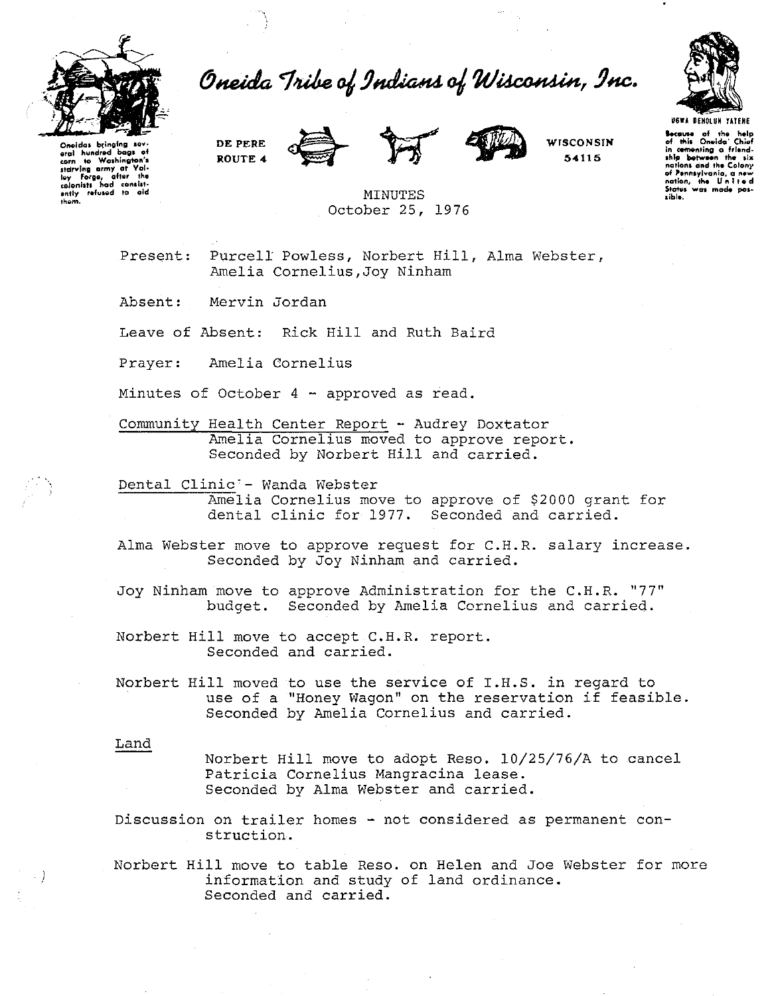

**them.** 

Oneida Tribe of Indians of Wisconsin, Inc.



Oneidas bringing sov<br>eral hundred bags of<br>corn to Woshington's starving army at Val-<br>loy Forge, after the<br>colonists had consist-<br>ently refused to aid **DE PERE ROUTE 4** 





**WJSCONSIN 64115** 

**U6WA DEHOtUH UTEHE t.c.I.IM of the h•lp of rill• Oneida· Chief In -nting o frl•nd· Jhl!ll NtwHn th• 1ia nation• and th• Colony of '•nnsyl¥ania, a n•w nation, thil United StatGJ Wal mod. pol• •ibl•.** 

MINUTES October 25, 1976

Present: Purcell Powless, Norbert Hill, Alma Webster, Amelia Cornelius,Joy Ninham

Absent: Mervin Jordan

Leave of Absent: Rick Hill and Ruth Baird

Prayer: Amelia Cornelius

Minutes of October 4 - approved as read.

Community Health Center Report - Audrey Doxtator Amelia Cornelius moved to approve report. Seconded by Norbert Hill and carried.

Dental Clinic'- Wanda Webster

**EXECUTE CITATE MANAGE MODELS** dental clinic for 1977. Seconded and carried.

Alma Webster move to approve request for C.H.R. salary increase. Seconded by Joy Ninham and carried.

Joy Ninham move to approve Administration for the C.H.R. "77" budget. Seconded by Amelia Cornelius and carried.

Norbert Hill move to accept C.H.R. report. Seconded and carried.

Norbert Hill moved to use the service of I.H.S. in regard to use of a "Honey Wagon" on the reservation if feasible. Seconded by Amelia Cornelius and carried.

Land

Norbert Hill move to adopt Reso. 10/25/76/A to cancel Patricia Cornelius Mangracina lease. Seconded by Alma Webster and carried.

Discussion on trailer homes - not considered as permanent construction.

Norbert Hill move to table Reso. on Helen and Joe Webster for more information and study of land ordinance. Seconded and carried.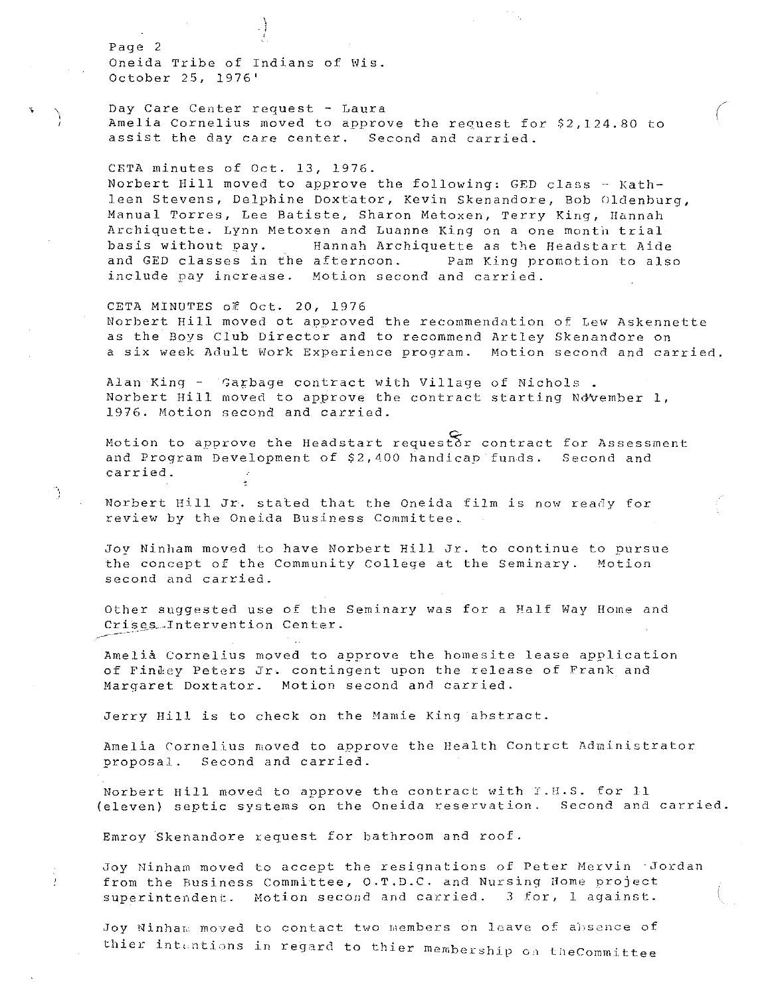Page 2 Oneida Tribe of Indians of Wis. October 25, 1976'

'

Day Care Center request - Laura Amelia Cornelius moved to approve the request for \$2,124.80 to assist the day care center. Second and carried.

 $\bigg($ 

CETA minutes of Oct. 13, 1976. Norbert Hill moved to approve the following: GED class - Kathleen Stevens, Delphine Doxtator, Kevin Skenandore, Bob Oldenburg, Manual Torres, Lee Batiste, Sharon Metoxen, Terry King, Hannah Archiquette. Lynn Metoxen and Luanne King on a one month trial-<br>basis without pay. 1 Hannah Archiquette as the Headstart Aide Hannah Archiquette as the Headstart Aide and GED classes in the afternoon. Pam King promotion to also include pay increase. Motion second and carried.

CETA MINU1'ES of Oct. 20, 1976 Norbert Hill moved ot approved the recommendation of Lew Askennette as the Boys Club Director and to recommend Artley Skenandore on a six week Adult Work Experience program. Motion second and carried.

Alan King - Garbage contract with Village of Nichols Morbert Hill moved to approve the contract starting November 1, 1976. Motion second and carried.

Motion to approve the Headstart requestor contract for Assessment and Program Development of \$2,400 handicap funds. Second and carried.

Norbert Hill Jr. stated that the Oneida film is now ready for review by the Oneida Business Committee.

Joy Ninham moved to have Norbert Hill Jr. to continue to pursue the concept of the Community College at the Seminary. Motion second and carried.

Other suggested use of the Seminary was for a Half Way Home and Crises-Intervention Center.

Amelia Cornelius moved to approve the homesite lease application of Findey Peters Jr. contingent upon the release of Frank and Margaret Doxtater. Motion second and carried.

Jerry Hill is to check on the Mamie King ahstract.

Amelia Cornelius moved to approve the Health Contrct Administrator proposal. Second and carried.

Norbert Hill moved to approve the contract with I.H.S. for 11 (eleven) septic systems on the Oneida reservation. Second and carried.

Emroy Skenandore xequest for bathroom and roof.

Joy Ninham moved to accept the resignations of Peter Mervin ·Jordan from the Business Committee, O.T.D.C. and Nursing Home project superintendent. Motion second and carried. 3 for, 1 against.

Joy Ninham moved to contact two members on leave of absence of thier intentions in regard to thier membership on theCommittee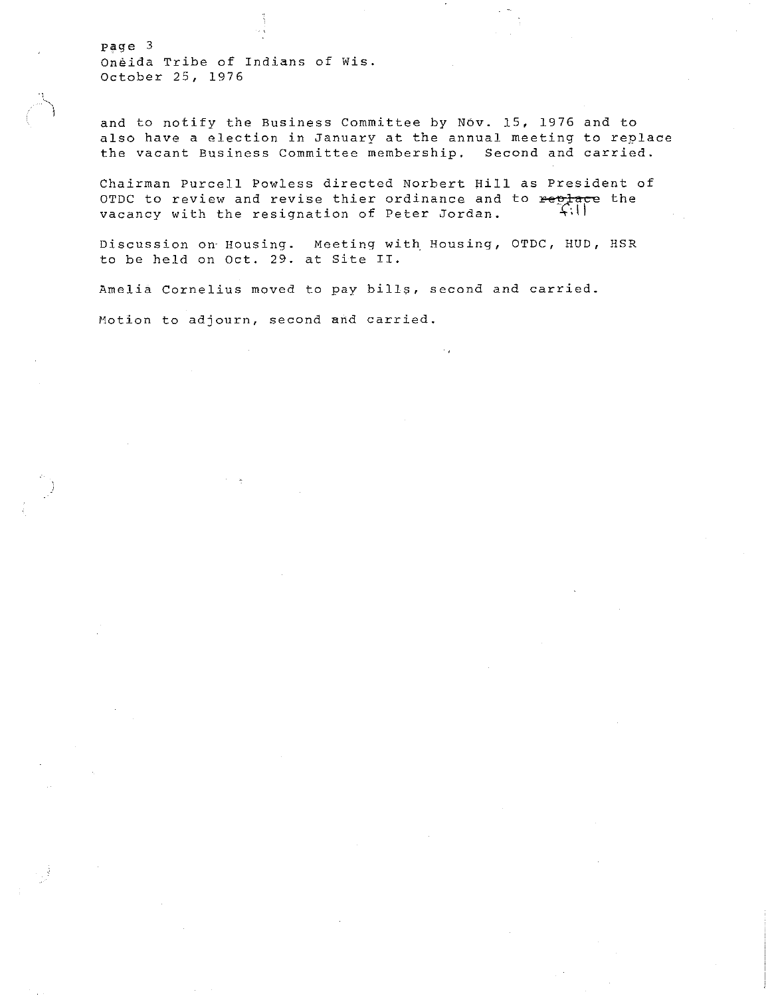page 3 **oneida Tribe of Indians of Wis.**  October 25, 1976

and to notify the Business Committee by Nov. 15, 1976 and to **also have a election in January at the annual meeting to replace the vacant Business Committee membership. Second and carried.** 

Chairman Purcell Powless directed Norbert Hill as President of **OTDC to review and revise thier ordinance and to Feelace the**  vacancy with the resignation of Peter Jordan. 4.1

Discussion on Housing. Meeting with Housing, OTDC, HUD, HSR to be held on Oct. 29. at Site II.

**Amelia Cornelius moved to pay bills, second and carried. Motion to adjourn, second and carried.**